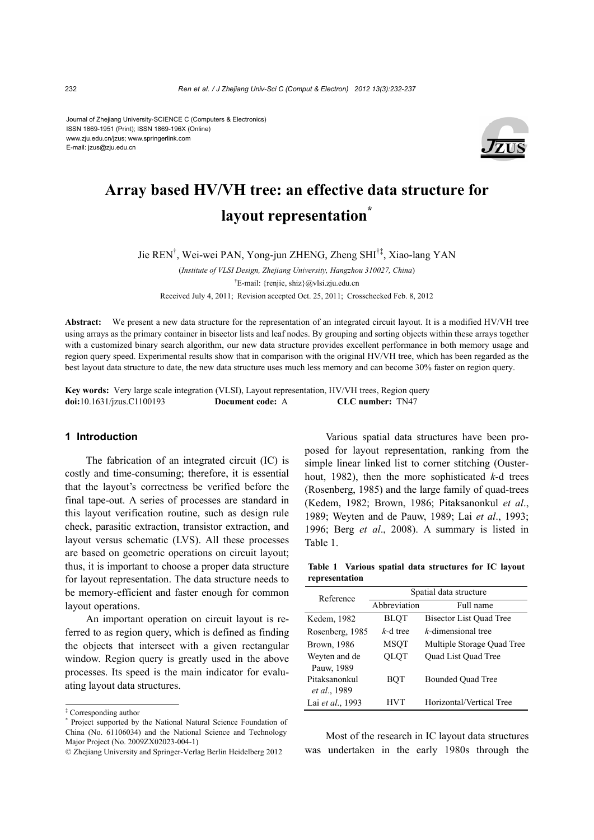Journal of Zhejiang University-SCIENCE C (Computers & Electronics) ISSN 1869-1951 (Print); ISSN 1869-196X (Online) www.zju.edu.cn/jzus; www.springerlink.com E-mail: jzus@zju.edu.cn



# **Array based HV/VH tree: an effective data structure for layout representation\***

Jie REN† , Wei-wei PAN, Yong-jun ZHENG, Zheng SHI†‡, Xiao-lang YAN

(*Institute of VLSI Design, Zhejiang University, Hangzhou 310027, China*) † E-mail: {renjie, shiz}@vlsi.zju.edu.cn Received July 4, 2011; Revision accepted Oct. 25, 2011; Crosschecked Feb. 8, 2012

**Abstract:** We present a new data structure for the representation of an integrated circuit layout. It is a modified HV/VH tree using arrays as the primary container in bisector lists and leaf nodes. By grouping and sorting objects within these arrays together with a customized binary search algorithm, our new data structure provides excellent performance in both memory usage and region query speed. Experimental results show that in comparison with the original HV/VH tree, which has been regarded as the best layout data structure to date, the new data structure uses much less memory and can become 30% faster on region query.

**Key words:** Very large scale integration (VLSI), Layout representation, HV/VH trees, Region query **doi:**10.1631/jzus.C1100193 **Document code:** A **CLC number:** TN47

## **1 Introduction**

The fabrication of an integrated circuit (IC) is costly and time-consuming; therefore, it is essential that the layout's correctness be verified before the final tape-out. A series of processes are standard in this layout verification routine, such as design rule check, parasitic extraction, transistor extraction, and layout versus schematic (LVS). All these processes are based on geometric operations on circuit layout; thus, it is important to choose a proper data structure for layout representation. The data structure needs to be memory-efficient and faster enough for common layout operations.

An important operation on circuit layout is referred to as region query, which is defined as finding the objects that intersect with a given rectangular window. Region query is greatly used in the above processes. Its speed is the main indicator for evaluating layout data structures.

Various spatial data structures have been proposed for layout representation, ranking from the simple linear linked list to corner stitching (Ousterhout, 1982), then the more sophisticated *k*-d trees (Rosenberg, 1985) and the large family of quad-trees (Kedem, 1982; Brown, 1986; Pitaksanonkul *et al*., 1989; Weyten and de Pauw, 1989; Lai *et al*., 1993; 1996; Berg *et al*., 2008). A summary is listed in Table 1.

**Table 1 Various spatial data structures for IC layout representation** 

| Reference                     | Spatial data structure |                                |  |
|-------------------------------|------------------------|--------------------------------|--|
|                               | Abbreviation           | Full name                      |  |
| Kedem, 1982                   | <b>BLQT</b>            | <b>Bisector List Quad Tree</b> |  |
| Rosenberg, 1985               | $k$ -d tree            | k-dimensional tree             |  |
| Brown, 1986                   | <b>MSQT</b>            | Multiple Storage Quad Tree     |  |
| Weyten and de<br>Pauw, 1989   | <b>OLOT</b>            | Quad List Quad Tree            |  |
| Pitaksanonkul<br>et al., 1989 | BOT                    | <b>Bounded Quad Tree</b>       |  |
| Lai et al., 1993              | HVT                    | Horizontal/Vertical Tree       |  |

Most of the research in IC layout data structures was undertaken in the early 1980s through the

<sup>‡</sup> Corresponding author

<sup>\*</sup> Project supported by the National Natural Science Foundation of China (No. 61106034) and the National Science and Technology Major Project (No. 2009ZX02023-004-1)

<sup>©</sup> Zhejiang University and Springer-Verlag Berlin Heidelberg 2012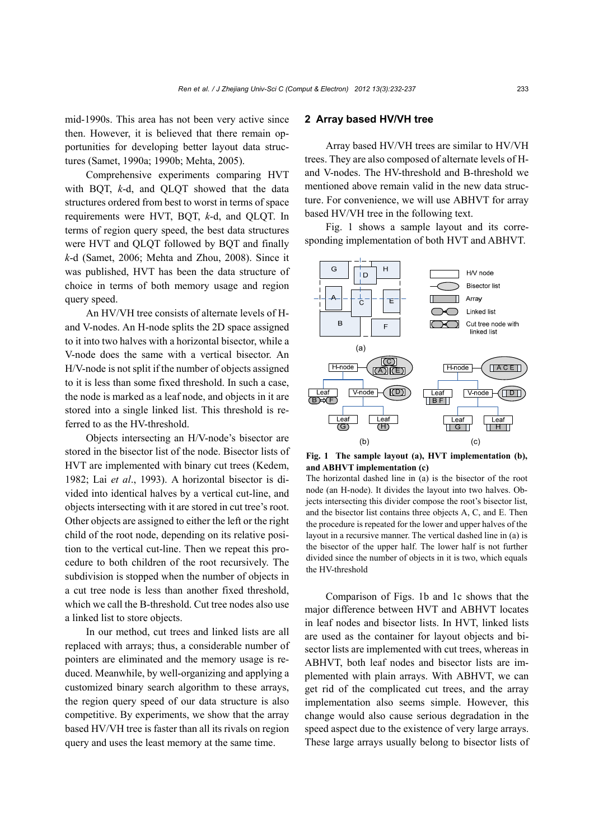mid-1990s. This area has not been very active since then. However, it is believed that there remain opportunities for developing better layout data structures (Samet, 1990a; 1990b; Mehta, 2005).

Comprehensive experiments comparing HVT with BQT, *k*-d, and QLQT showed that the data structures ordered from best to worst in terms of space requirements were HVT, BQT, *k*-d, and QLQT. In terms of region query speed, the best data structures were HVT and QLQT followed by BQT and finally *k*-d (Samet, 2006; Mehta and Zhou, 2008). Since it was published, HVT has been the data structure of choice in terms of both memory usage and region query speed.

An HV/VH tree consists of alternate levels of Hand V-nodes. An H-node splits the 2D space assigned to it into two halves with a horizontal bisector, while a V-node does the same with a vertical bisector. An H/V-node is not split if the number of objects assigned to it is less than some fixed threshold. In such a case, the node is marked as a leaf node, and objects in it are stored into a single linked list. This threshold is referred to as the HV-threshold.

Objects intersecting an H/V-node's bisector are stored in the bisector list of the node. Bisector lists of HVT are implemented with binary cut trees (Kedem, 1982; Lai *et al*., 1993). A horizontal bisector is divided into identical halves by a vertical cut-line, and objects intersecting with it are stored in cut tree's root. Other objects are assigned to either the left or the right child of the root node, depending on its relative position to the vertical cut-line. Then we repeat this procedure to both children of the root recursively. The subdivision is stopped when the number of objects in a cut tree node is less than another fixed threshold, which we call the B-threshold. Cut tree nodes also use a linked list to store objects.

In our method, cut trees and linked lists are all replaced with arrays; thus, a considerable number of pointers are eliminated and the memory usage is reduced. Meanwhile, by well-organizing and applying a customized binary search algorithm to these arrays, the region query speed of our data structure is also competitive. By experiments, we show that the array based HV/VH tree is faster than all its rivals on region query and uses the least memory at the same time.

#### **2 Array based HV/VH tree**

Array based HV/VH trees are similar to HV/VH trees. They are also composed of alternate levels of Hand V-nodes. The HV-threshold and B-threshold we mentioned above remain valid in the new data structure. For convenience, we will use ABHVT for array based HV/VH tree in the following text.

Fig. 1 shows a sample layout and its corresponding implementation of both HVT and ABHVT.



**Fig. 1 The sample layout (a), HVT implementation (b), and ABHVT implementation (c)** 

The horizontal dashed line in (a) is the bisector of the root node (an H-node). It divides the layout into two halves. Objects intersecting this divider compose the root's bisector list, and the bisector list contains three objects A, C, and E. Then the procedure is repeated for the lower and upper halves of the layout in a recursive manner. The vertical dashed line in (a) is the bisector of the upper half. The lower half is not further divided since the number of objects in it is two, which equals the HV-threshold

Comparison of Figs. 1b and 1c shows that the major difference between HVT and ABHVT locates in leaf nodes and bisector lists. In HVT, linked lists are used as the container for layout objects and bisector lists are implemented with cut trees, whereas in ABHVT, both leaf nodes and bisector lists are implemented with plain arrays. With ABHVT, we can get rid of the complicated cut trees, and the array implementation also seems simple. However, this change would also cause serious degradation in the speed aspect due to the existence of very large arrays. These large arrays usually belong to bisector lists of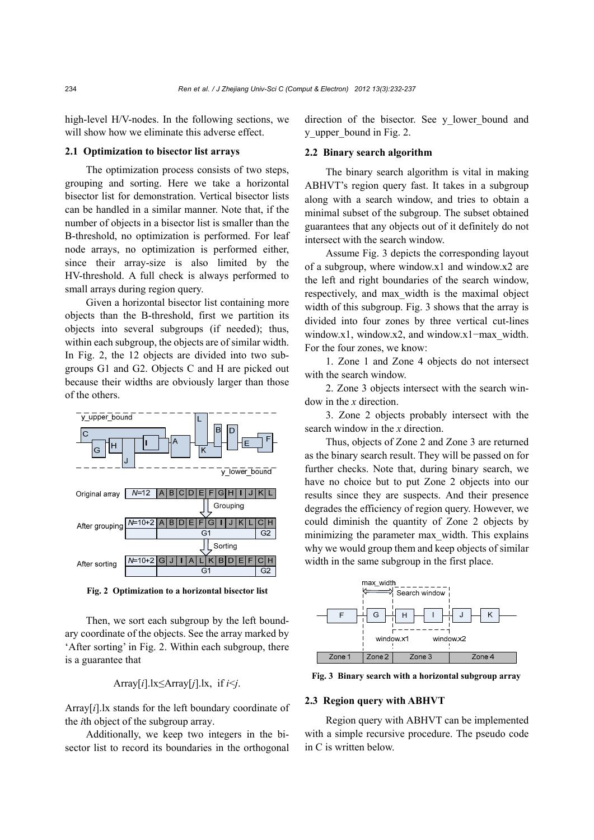high-level H/V-nodes. In the following sections, we will show how we eliminate this adverse effect.

# **2.1 Optimization to bisector list arrays**

The optimization process consists of two steps, grouping and sorting. Here we take a horizontal bisector list for demonstration. Vertical bisector lists can be handled in a similar manner. Note that, if the number of objects in a bisector list is smaller than the B-threshold, no optimization is performed. For leaf node arrays, no optimization is performed either, since their array-size is also limited by the HV-threshold. A full check is always performed to small arrays during region query.

Given a horizontal bisector list containing more objects than the B-threshold, first we partition its objects into several subgroups (if needed); thus, within each subgroup, the objects are of similar width. In Fig. 2, the 12 objects are divided into two subgroups G1 and G2. Objects C and H are picked out because their widths are obviously larger than those of the others.



**Fig. 2 Optimization to a horizontal bisector list**

Then, we sort each subgroup by the left boundary coordinate of the objects. See the array marked by 'After sorting' in Fig. 2. Within each subgroup, there is a guarantee that

Array[*i*].lx≤Array[*j*].lx, if *i*<*j*.

Array[*i*].lx stands for the left boundary coordinate of the *i*th object of the subgroup array.

Additionally, we keep two integers in the bisector list to record its boundaries in the orthogonal direction of the bisector. See y lower bound and y upper bound in Fig. 2.

### **2.2 Binary search algorithm**

The binary search algorithm is vital in making ABHVT's region query fast. It takes in a subgroup along with a search window, and tries to obtain a minimal subset of the subgroup. The subset obtained guarantees that any objects out of it definitely do not intersect with the search window.

Assume Fig. 3 depicts the corresponding layout of a subgroup, where window.x1 and window.x2 are the left and right boundaries of the search window, respectively, and max\_width is the maximal object width of this subgroup. Fig. 3 shows that the array is divided into four zones by three vertical cut-lines window.x1, window.x2, and window.x1−max\_width. For the four zones, we know:

1. Zone 1 and Zone 4 objects do not intersect with the search window.

2. Zone 3 objects intersect with the search window in the *x* direction.

3. Zone 2 objects probably intersect with the search window in the *x* direction.

Thus, objects of Zone 2 and Zone 3 are returned as the binary search result. They will be passed on for further checks. Note that, during binary search, we have no choice but to put Zone 2 objects into our results since they are suspects. And their presence degrades the efficiency of region query. However, we could diminish the quantity of Zone 2 objects by minimizing the parameter max\_width. This explains why we would group them and keep objects of similar width in the same subgroup in the first place.



**Fig. 3 Binary search with a horizontal subgroup array**

#### **2.3 Region query with ABHVT**

Region query with ABHVT can be implemented with a simple recursive procedure. The pseudo code in C is written below.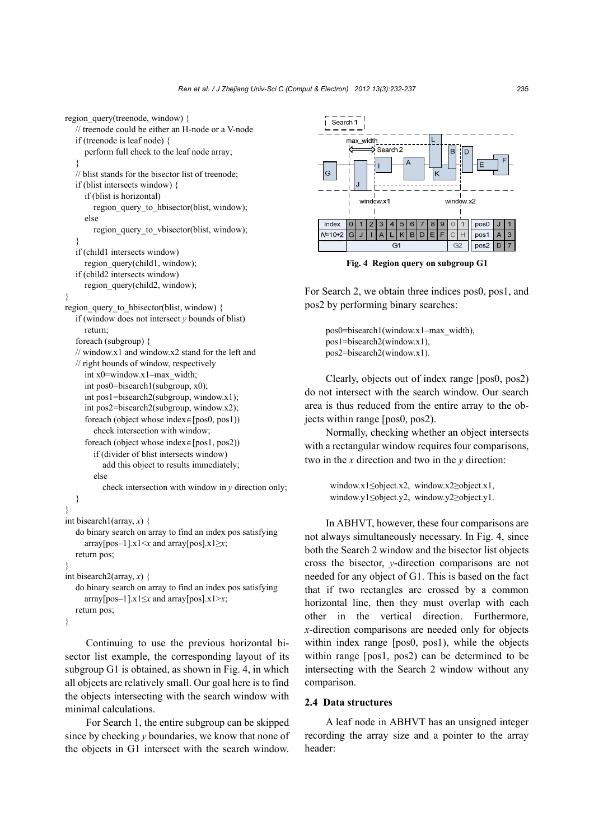```
region query(treenode, window) {
  // treenode could be either an H-node or a V-node 
  if (treenode is leaf node) { 
      perform full check to the leaf node array; 
   } 
  // blist stands for the bisector list of treenode; 
  if (blist intersects window) { 
      if (blist is horizontal) 
        region_query_to_hbisector(blist, window);
      else 
        region query to vbisector(blist, window);
   } 
  if (child1 intersects window) 
     region_query(child1, window);
  if (child2 intersects window) 
      region_query(child2, window); 
} 
region query to hbisector(blist, window) {
  if (window does not intersect y bounds of blist) 
      return; 
  foreach (subgroup) { 
  // window.x1 and window.x2 stand for the left and 
  // right bounds of window, respectively 
      int x0=window.x1–max_width; 
      int pos0=bisearch1(subgroup, x0); 
      int pos1=bisearch2(subgroup, window.x1); 
      int pos2=bisearch2(subgroup, window.x2); 
     foreach (object whose index\in[pos0, pos1))
         check intersection with window; 
     foreach (object whose index\in[pos1, pos2))
         if (divider of blist intersects window) 
           add this object to results immediately; 
         else 
           check intersection with window in y direction only; 
  } 
} 
int bisearch1(array, x) { 
  do binary search on array to find an index pos satisfying 
     arrav[pos-1].x1 \leq x and arrav[pos].x1 \geq x;
  return pos; 
} 
int bisearch2(array, x) { 
  do binary search on array to find an index pos satisfying 
     array[pos–1].x1≤x and array[pos].x1>x; 
  return pos; 
}
```
Continuing to use the previous horizontal bisector list example, the corresponding layout of its subgroup G1 is obtained, as shown in Fig. 4, in which all objects are relatively small. Our goal here is to find the objects intersecting with the search window with minimal calculations.

For Search 1, the entire subgroup can be skipped since by checking *y* boundaries, we know that none of the objects in G1 intersect with the search window.



**Fig. 4 Region query on subgroup G1**

For Search 2, we obtain three indices pos0, pos1, and pos2 by performing binary searches:

pos0=bisearch1(window.x1–max\_width), pos1=bisearch2(window.x1), pos2=bisearch2(window.x1).

Clearly, objects out of index range [pos0, pos2) do not intersect with the search window. Our search area is thus reduced from the entire array to the objects within range [pos0, pos2).

Normally, checking whether an object intersects with a rectangular window requires four comparisons, two in the *x* direction and two in the *y* direction:

```
window.x1≤object.x2, window.x2≥object.x1, 
window.y1≤object.y2, window.y2≥object.y1.
```
In ABHVT, however, these four comparisons are not always simultaneously necessary. In Fig. 4, since both the Search 2 window and the bisector list objects cross the bisector, *y*-direction comparisons are not needed for any object of G1. This is based on the fact that if two rectangles are crossed by a common horizontal line, then they must overlap with each other in the vertical direction. Furthermore, *x*-direction comparisons are needed only for objects within index range [pos0, pos1), while the objects within range [pos1, pos2) can be determined to be intersecting with the Search 2 window without any comparison.

## **2.4 Data structures**

A leaf node in ABHVT has an unsigned integer recording the array size and a pointer to the array header: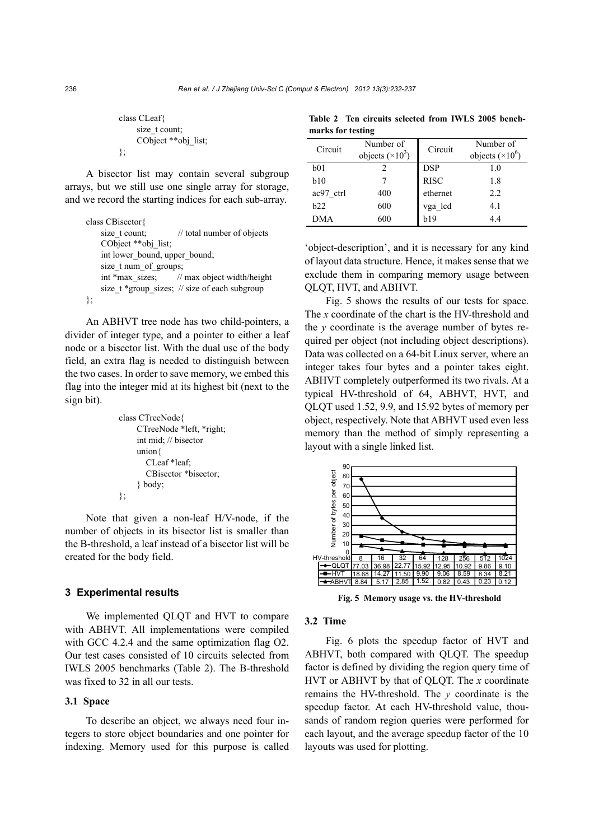|    | class CLeaf         |
|----|---------------------|
|    | size t count:       |
|    | CObject **obj list; |
| ۱. |                     |

A bisector list may contain several subgroup arrays, but we still use one single array for storage, and we record the starting indices for each sub-array.

|    | class CBisector{                              |
|----|-----------------------------------------------|
|    | size t count;<br>// total number of objects   |
|    | CObject **obj list;                           |
|    | int lower bound, upper bound;                 |
|    | size t num of groups;                         |
|    | int *max sizes; // max object width/height    |
|    | size t *group sizes; // size of each subgroup |
| }; |                                               |

An ABHVT tree node has two child-pointers, a divider of integer type, and a pointer to either a leaf node or a bisector list. With the dual use of the body field, an extra flag is needed to distinguish between the two cases. In order to save memory, we embed this flag into the integer mid at its highest bit (next to the sign bit).

```
class CTreeNode{ 
      CTreeNode *left, *right; 
      int mid; // bisector 
      union{ 
         CLeaf *leaf; 
         CBisector *bisector; 
      } body; 
};
```
Note that given a non-leaf H/V-node, if the number of objects in its bisector list is smaller than the B-threshold, a leaf instead of a bisector list will be created for the body field.

## **3 Experimental results**

We implemented QLQT and HVT to compare with ABHVT. All implementations were compiled with GCC 4.2.4 and the same optimization flag O2. Our test cases consisted of 10 circuits selected from IWLS 2005 benchmarks (Table 2). The B-threshold was fixed to 32 in all our tests.

# **3.1 Space**

To describe an object, we always need four integers to store object boundaries and one pointer for indexing. Memory used for this purpose is called

**Table 2 Ten circuits selected from IWLS 2005 benchmarks for testing** 

| Circuit    | Number of<br>objects $(\times 10^3)$ | Circuit     | Number of<br>objects $(\times 10^6)$ |
|------------|--------------------------------------|-------------|--------------------------------------|
| b01        |                                      | <b>DSP</b>  | 1.0                                  |
| b10        |                                      | <b>RISC</b> | 1.8                                  |
| ac97 ctrl  | 400                                  | ethernet    | 2.2                                  |
| h22        | 600                                  | vga_lcd     | 4.1                                  |
| <b>DMA</b> | 600                                  | h19         | 4.4                                  |
|            |                                      |             |                                      |

'object-description', and it is necessary for any kind of layout data structure. Hence, it makes sense that we exclude them in comparing memory usage between QLQT, HVT, and ABHVT.

Fig. 5 shows the results of our tests for space. The *x* coordinate of the chart is the HV-threshold and the *y* coordinate is the average number of bytes required per object (not including object descriptions). Data was collected on a 64-bit Linux server, where an integer takes four bytes and a pointer takes eight. ABHVT completely outperformed its two rivals. At a typical HV-threshold of 64, ABHVT, HVT, and QLQT used 1.52, 9.9, and 15.92 bytes of memory per object, respectively. Note that ABHVT used even less memory than the method of simply representing a layout with a single linked list.



**Fig. 5 Memory usage vs. the HV-threshold**

## **3.2 Time**

Fig. 6 plots the speedup factor of HVT and ABHVT, both compared with QLQT. The speedup factor is defined by dividing the region query time of HVT or ABHVT by that of QLQT. The *x* coordinate remains the HV-threshold. The *y* coordinate is the speedup factor. At each HV-threshold value, thousands of random region queries were performed for each layout, and the average speedup factor of the 10 layouts was used for plotting.